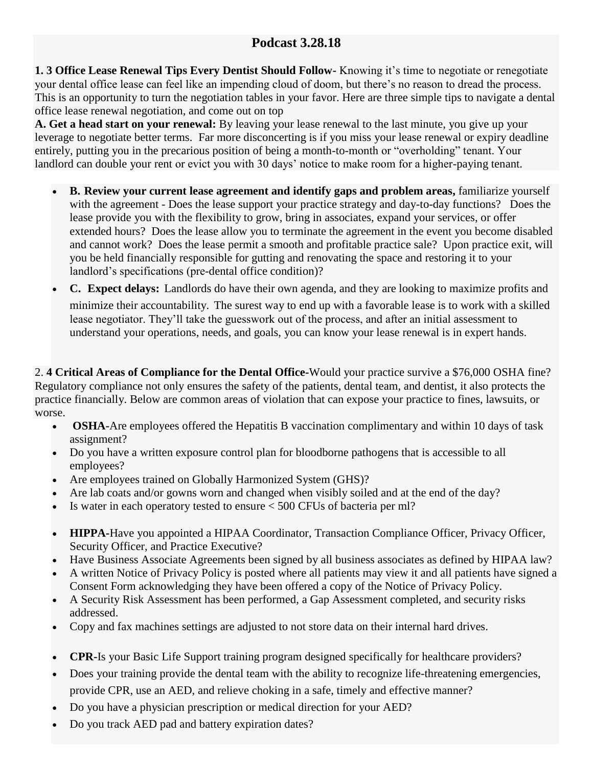## **Podcast 3.28.18**

**1. 3 Office Lease Renewal Tips Every Dentist Should Follow-** Knowing it's time to negotiate or renegotiate your dental office lease can feel like an impending cloud of doom, but there's no reason to dread the process. This is an opportunity to turn the negotiation tables in your favor. Here are three simple tips to navigate a dental office lease renewal negotiation, and come out on top

**A. Get a head start on your renewal:** By leaving your lease renewal to the last minute, you give up your leverage to negotiate better terms. Far more disconcerting is if you miss your lease renewal or expiry deadline entirely, putting you in the precarious position of being a month-to-month or "overholding" tenant. Your landlord can double your rent or evict you with 30 days' notice to make room for a higher-paying tenant.

- **B. Review your current lease agreement and identify gaps and problem areas,** familiarize yourself with the agreement - Does the lease support your practice strategy and day-to-day functions? Does the lease provide you with the flexibility to grow, bring in associates, expand your services, or offer extended hours? Does the lease allow you to terminate the agreement in the event you become disabled and cannot work? Does the lease permit a smooth and profitable practice sale? Upon practice exit, will you be held financially responsible for gutting and renovating the space and restoring it to your landlord's specifications (pre-dental office condition)?
- **C. Expect delays:** Landlords do have their own agenda, and they are looking to maximize profits and minimize their accountability. The surest way to end up with a favorable lease is to work with a skilled lease negotiator. They'll take the guesswork out of the process, and after an initial assessment to understand your operations, needs, and goals, you can know your lease renewal is in expert hands.

2. **4 Critical Areas of Compliance for the Dental Office-**Would your practice survive a \$76,000 OSHA fine? Regulatory compliance not only ensures the safety of the patients, dental team, and dentist, it also protects the practice financially. Below are common areas of violation that can expose your practice to fines, lawsuits, or worse.

- **OSHA-**Are employees offered the Hepatitis B vaccination complimentary and within 10 days of task assignment?
- Do you have a written exposure control plan for bloodborne pathogens that is accessible to all employees?
- Are employees trained on Globally Harmonized System (GHS)?
- Are lab coats and/or gowns worn and changed when visibly soiled and at the end of the day?
- Is water in each operatory tested to ensure  $< 500$  CFUs of bacteria per ml?
- **HIPPA-**Have you appointed a HIPAA Coordinator, Transaction Compliance Officer, Privacy Officer, Security Officer, and Practice Executive?
- Have Business Associate Agreements been signed by all business associates as defined by HIPAA law?
- A written Notice of Privacy Policy is posted where all patients may view it and all patients have signed a Consent Form acknowledging they have been offered a copy of the Notice of Privacy Policy.
- A Security Risk Assessment has been performed, a Gap Assessment completed, and security risks addressed.
- Copy and fax machines settings are adjusted to not store data on their internal hard drives.
- **CPR-Is your Basic Life Support training program designed specifically for healthcare providers?**
- Does your training provide the dental team with the ability to recognize life-threatening emergencies, provide CPR, use an AED, and relieve choking in a safe, timely and effective manner?
- Do you have a physician prescription or medical direction for your AED?
- Do you track AED pad and battery expiration dates?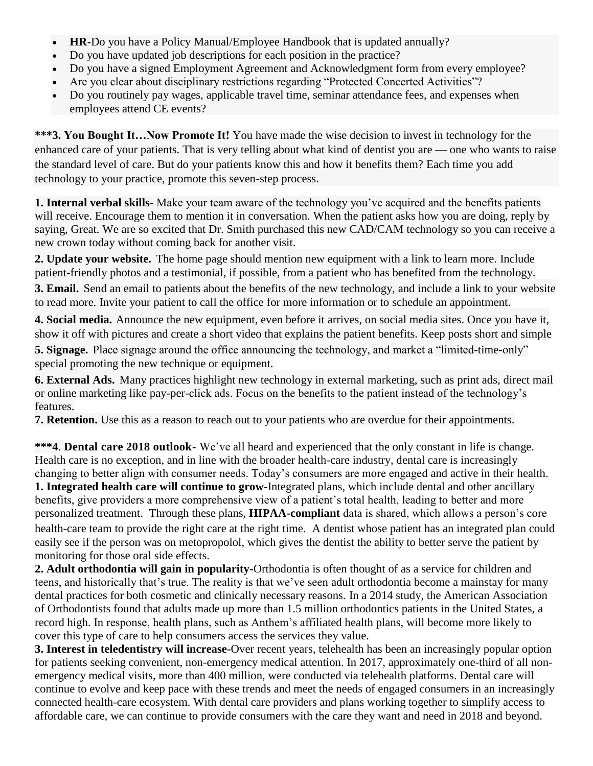- **HR-**Do you have a Policy Manual/Employee Handbook that is updated annually?
- Do you have updated job descriptions for each position in the practice?
- Do you have a signed Employment Agreement and Acknowledgment form from every employee?
- Are you clear about disciplinary restrictions regarding "Protected Concerted Activities"?
- Do you routinely pay wages, applicable travel time, seminar attendance fees, and expenses when employees attend CE events?

**\*\*\*3. You Bought It…Now Promote It!** You have made the wise decision to invest in technology for the enhanced care of your patients. That is very telling about what kind of dentist you are — one who wants to raise the standard level of care. But do your patients know this and how it benefits them? Each time you add technology to your practice, promote this seven-step process.

**1. Internal verbal skills-** Make your team aware of the technology you've acquired and the benefits patients will receive. Encourage them to mention it in conversation. When the patient asks how you are doing, reply by saying, Great. We are so excited that Dr. Smith purchased this new CAD/CAM technology so you can receive a new crown today without coming back for another visit.

**2. Update your website.** The home page should mention new equipment with a link to learn more. Include patient-friendly photos and a testimonial, if possible, from a patient who has benefited from the technology.

**3. Email.** Send an email to patients about the benefits of the new technology, and include a link to your website to read more. Invite your patient to call the office for more information or to schedule an appointment.

**4. Social media.** Announce the new equipment, even before it arrives, on social media sites. Once you have it, show it off with pictures and create a short video that explains the patient benefits. Keep posts short and simple

**5. Signage.** Place signage around the office announcing the technology, and market a "limited-time-only" special promoting the new technique or equipment.

**6. External Ads.** Many practices highlight new technology in external marketing, such as print ads, direct mail or online marketing like pay-per-click ads. Focus on the benefits to the patient instead of the technology's features.

**7. Retention.** Use this as a reason to reach out to your patients who are overdue for their appointments.

**\*\*\*4**. **Dental care 2018 outlook-** We've all heard and experienced that the only constant in life is change. Health care is no exception, and in line with the broader health-care industry, dental care is increasingly changing to better align with consumer needs. Today's consumers are more engaged and active in their health. **1. Integrated health care will continue to grow**-Integrated plans, which include dental and other ancillary benefits, give providers a more comprehensive view of a patient's total health, leading to better and more personalized treatment. Through these plans, **[HIPAA-compliant](http://www.dentistryiq.com/articles/2017/06/emails-texts-and-hipaa-7-rules-that-every-dentist-needs-to-know.html)** data is shared, which allows a person's core health-care team to provide the right care at the right time. A dentist whose patient has an integrated plan could easily see if the person was on metopropolol, which gives the dentist the ability to better serve the patient by monitoring for those oral side effects.

**2. Adult orthodontia will gain in popularity-**Orthodontia is often thought of as a service for children and teens, and historically that's true. The reality is that we've seen adult [orthodontia](http://www.dentistryiq.com/articles/2016/09/clear-aligners-versus-traditional-braces-4-benefits-for-adult-orthodontic-patients.html) become a mainstay for many dental practices for both cosmetic and clinically necessary reasons. In a 2014 [study,](https://health.usnews.com/wellness/articles/2016-07-27/braces-for-adults-are-they-right-for-you) the American Association of Orthodontists found that adults made up more than 1.5 million orthodontics patients in the United States, a record high. In response, health plans, such as Anthem's affiliated health plans, will become more likely to cover this type of care to help consumers access the services they value.

**3. Interest in teledentistry will increase-**Over recent years, telehealth has been an increasingly popular option for patients seeking convenient, non-emergency medical attention. In 2017, approximately [one-third](https://www.fshealth.com/blog/29-statistics-about-telemedicine-healthcare) of all non[emergency](https://www.fshealth.com/blog/29-statistics-about-telemedicine-healthcare) medical visits, more than 400 million, were conducted via telehealth platforms. Dental care will continue to evolve and keep pace with these trends and meet the needs of engaged consumers in an increasingly connected health-care ecosystem. With dental care providers and plans working together to simplify access to affordable care, we can continue to provide consumers with the care they want and need in 2018 and beyond.